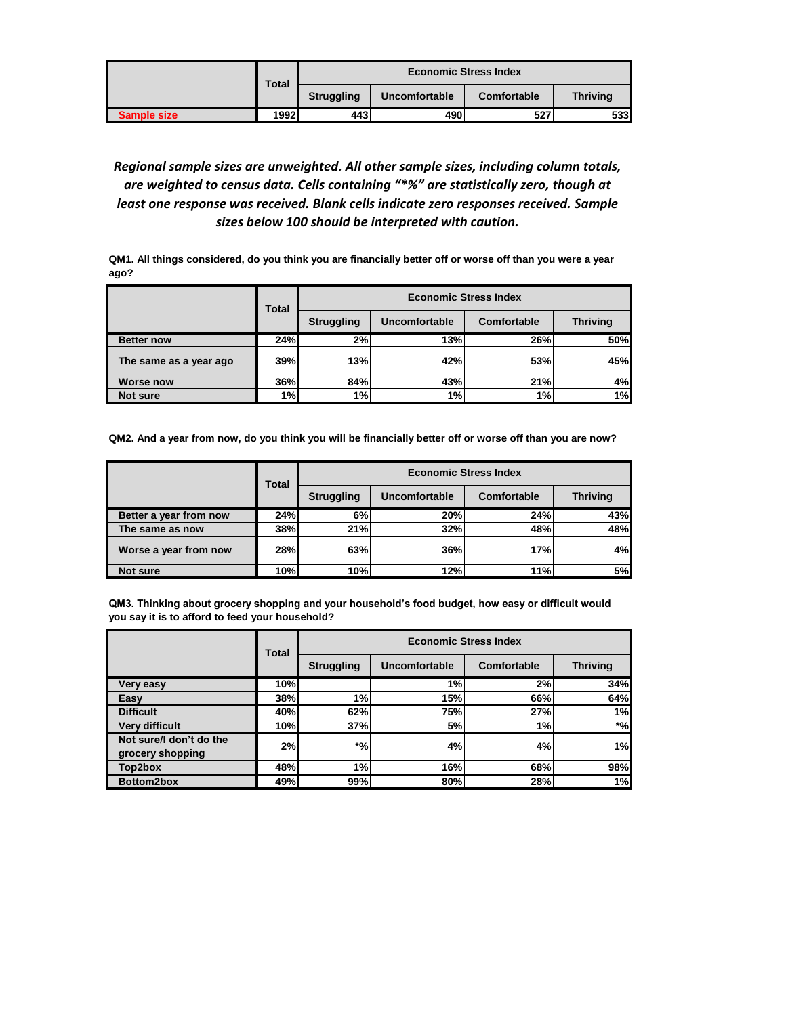|             | <b>Total</b> | <b>Economic Stress Index</b> |               |             |                 |
|-------------|--------------|------------------------------|---------------|-------------|-----------------|
|             |              | <b>Struggling</b>            | Uncomfortable | Comfortable | <b>Thriving</b> |
| Sample size | 1992.        | 443                          | 490           | 527         | 533I            |

## *Regional sample sizes are unweighted. All other sample sizes, including column totals, are weighted to census data. Cells containing "\*%" are statistically zero, though at least one response was received. Blank cells indicate zero responses received. Sample sizes below 100 should be interpreted with caution.*

**QM1. All things considered, do you think you are financially better off or worse off than you were a year ago?**

|                        | <b>Total</b> | <b>Economic Stress Index</b> |               |             |                 |  |
|------------------------|--------------|------------------------------|---------------|-------------|-----------------|--|
|                        |              | <b>Struggling</b>            | Uncomfortable | Comfortable | <b>Thriving</b> |  |
| <b>Better now</b>      | 24%          | 2%                           | 13%           | 26%         | 50%             |  |
| The same as a year ago | 39%          | 13%                          | 42%           | <b>53%</b>  | 45%             |  |
| <b>Worse now</b>       | 36%          | 84%                          | 43%           | 21%         | 4%              |  |
| Not sure               | 1%           | 1%                           | 1%            | 1%          | 1%              |  |

**QM2. And a year from now, do you think you will be financially better off or worse off than you are now?**

|                        | Total | <b>Economic Stress Index</b> |               |             |                 |  |
|------------------------|-------|------------------------------|---------------|-------------|-----------------|--|
|                        |       | <b>Struggling</b>            | Uncomfortable | Comfortable | <b>Thriving</b> |  |
| Better a year from now | 24%   | 6%                           | 20%           | 24%         | 43%             |  |
| The same as now        | 38%   | 21%                          | 32%           | 48%         | 48%             |  |
| Worse a year from now  | 28%   | 63%                          | 36%           | 17%         | 4%              |  |
| Not sure               | 10%   | 10%                          | 12%           | 11%         | <b>5%</b>       |  |

**QM3. Thinking about grocery shopping and your household's food budget, how easy or difficult would you say it is to afford to feed your household?**

|                                             | Total | <b>Economic Stress Index</b> |               |             |                 |  |
|---------------------------------------------|-------|------------------------------|---------------|-------------|-----------------|--|
|                                             |       | <b>Struggling</b>            | Uncomfortable | Comfortable | <b>Thriving</b> |  |
| Very easy                                   | 10%   |                              | 1%            | 2%          | 34%             |  |
| Easy                                        | 38%   | 1%                           | 15%           | <b>66%</b>  | 64%             |  |
| <b>Difficult</b>                            | 40%   | 62%                          | <b>75%</b>    | 27%         | 1%              |  |
| <b>Very difficult</b>                       | 10%   | 37%                          | 5%            | 1%          | $*$ %           |  |
| Not sure/I don't do the<br>grocery shopping | 2%    | $\boldsymbol{*}$ %           | 4%            | 4%          | 1%              |  |
| Top2box                                     | 48%   | 1%                           | 16%           | 68%         | 98%             |  |
| Bottom2box                                  | 49%   | 99%                          | 80%           | 28%         | 1%              |  |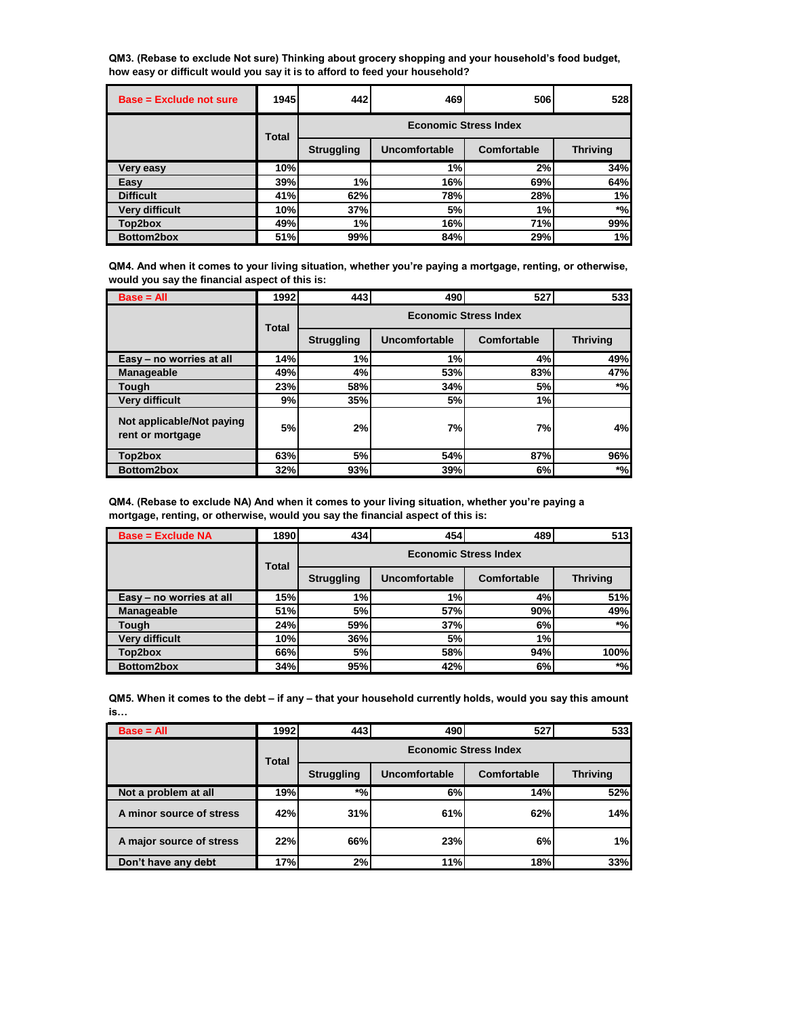**QM3. (Rebase to exclude Not sure) Thinking about grocery shopping and your household's food budget, how easy or difficult would you say it is to afford to feed your household?**

| <b>Base = Exclude not sure</b> | 1945         | 442                          | 469           | 506         | 528             |  |
|--------------------------------|--------------|------------------------------|---------------|-------------|-----------------|--|
|                                | <b>Total</b> | <b>Economic Stress Index</b> |               |             |                 |  |
|                                |              | <b>Struggling</b>            | Uncomfortable | Comfortable | <b>Thriving</b> |  |
| <b>Very easy</b>               | 10%          |                              | 1%            | 2%          | 34%             |  |
| Easy                           | 39%          | 1%                           | 16%           | 69%         | 64%             |  |
| <b>Difficult</b>               | 41%          | 62%                          | 78%           | 28%         | 1%              |  |
| <b>Very difficult</b>          | 10%          | 37%                          | 5%            | 1%          | $*$ %           |  |
| Top2box                        | 49%          | 1%                           | <b>16%</b>    | <b>71%</b>  | 99%             |  |
| Bottom2box                     | 51%          | 99%                          | 84%           | 29%         | 1%              |  |

**QM4. And when it comes to your living situation, whether you're paying a mortgage, renting, or otherwise, would you say the financial aspect of this is:**

| $Base = All$                                  | 1992         | 443                          | 490           | 527         | 533             |  |
|-----------------------------------------------|--------------|------------------------------|---------------|-------------|-----------------|--|
|                                               | <b>Total</b> | <b>Economic Stress Index</b> |               |             |                 |  |
|                                               |              | <b>Struggling</b>            | Uncomfortable | Comfortable | <b>Thriving</b> |  |
| Easy - no worries at all                      | 14%          | 1%                           | 1%            | 4%          | 49%             |  |
| Manageable                                    | 49%          | 4%                           | 53%           | 83%         | 47%             |  |
| Tough                                         | 23%          | 58%                          | 34%           | 5%          | $*$ %           |  |
| <b>Very difficult</b>                         | 9%           | 35%                          | 5%            | 1%          |                 |  |
| Not applicable/Not paying<br>rent or mortgage | 5%           | 2%                           | 7%            | 7%          | 4%              |  |
| Top2box                                       | 63%          | 5%                           | 54%           | 87%         | 96%             |  |
| Bottom2box                                    | 32%          | 93%                          | 39%           | 6%          | $*$ %           |  |

| QM4. (Rebase to exclude NA) And when it comes to your living situation, whether you're paying a |
|-------------------------------------------------------------------------------------------------|
| mortgage, renting, or otherwise, would you say the financial aspect of this is:                 |

| <b>Base = Exclude NA</b> | 1890         | 434                          | 454           | 489         | 513             |  |
|--------------------------|--------------|------------------------------|---------------|-------------|-----------------|--|
|                          | <b>Total</b> | <b>Economic Stress Index</b> |               |             |                 |  |
|                          |              | <b>Struggling</b>            | Uncomfortable | Comfortable | <b>Thriving</b> |  |
| Easy - no worries at all | 15%          | 1%                           | 1%            | 4%          | 51%             |  |
| Manageable               | 51%          | 5%                           | <b>57%</b>    | 90%         | 49%             |  |
| Tough                    | 24%          | 59%                          | 37%           | 6%          | $*$ %           |  |
| <b>Very difficult</b>    | 10%          | 36%                          | 5%            | 1%          |                 |  |
| Top2box                  | 66%          | 5%                           | <b>58%</b>    | 94%         | 100%            |  |
| Bottom2box               | 34%          | 95%                          | 42%           | 6%          | $*$ %           |  |

**QM5. When it comes to the debt – if any – that your household currently holds, would you say this amount is…**

| $Base = All$             | 1992         | 443                          | 490                  | 527         | 533             |  |
|--------------------------|--------------|------------------------------|----------------------|-------------|-----------------|--|
|                          | <b>Total</b> | <b>Economic Stress Index</b> |                      |             |                 |  |
|                          |              | <b>Struggling</b>            | <b>Uncomfortable</b> | Comfortable | <b>Thriving</b> |  |
| Not a problem at all     | 19%          | $*o_0$ .                     | 6%                   | 14%         | 52%             |  |
| A minor source of stress | 42%          | 31%                          | 61%                  | 62%         | 14%             |  |
| A major source of stress | 22%          | 66%                          | 23%                  | 6%          | 1%              |  |
| Don't have any debt      | 17%          | 2%                           | 11%                  | 18%         | 33%             |  |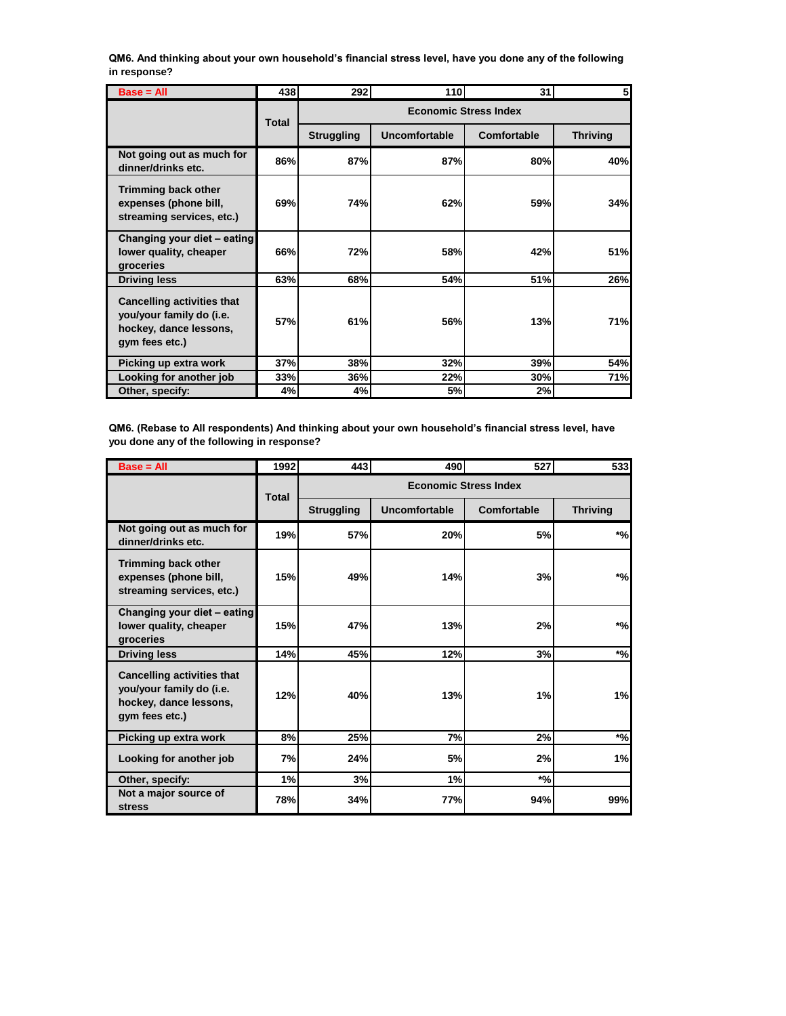**QM6. And thinking about your own household's financial stress level, have you done any of the following in response?**

| $Base = All$                                                                                              | 438          | <b>292</b>                   | 110                  | 31          |                 |  |
|-----------------------------------------------------------------------------------------------------------|--------------|------------------------------|----------------------|-------------|-----------------|--|
|                                                                                                           | <b>Total</b> | <b>Economic Stress Index</b> |                      |             |                 |  |
|                                                                                                           |              | <b>Struggling</b>            | <b>Uncomfortable</b> | Comfortable | <b>Thriving</b> |  |
| Not going out as much for<br>dinner/drinks etc.                                                           | 86%          | 87%                          | 87%                  | 80%         | 40%             |  |
| <b>Trimming back other</b><br>expenses (phone bill,<br>streaming services, etc.)                          | 69%          | 74%                          | 62%                  | 59%         | 34%             |  |
| Changing your diet - eating<br>lower quality, cheaper<br>groceries                                        | 66%          | 72%                          | <b>58%</b>           | 42%         | 51%             |  |
| <b>Driving less</b>                                                                                       | 63%          | 68%                          | 54%                  | 51%         | 26%             |  |
| <b>Cancelling activities that</b><br>you/your family do (i.e.<br>hockey, dance lessons,<br>gym fees etc.) | 57%          | 61%                          | 56%                  | 13%         | 71%             |  |
| Picking up extra work                                                                                     | 37%          | 38%                          | 32%                  | <b>39%</b>  | 54%             |  |
| Looking for another job                                                                                   | 33%          | 36%                          | 22%                  | 30%         | 71%             |  |
| Other, specify:                                                                                           | 4%           | 4%                           | 5%                   | 2%          |                 |  |

**QM6. (Rebase to All respondents) And thinking about your own household's financial stress level, have you done any of the following in response?**

| $Base = All$                                                                                              | 1992         | 443                          | 490           | 527         | 533                |  |
|-----------------------------------------------------------------------------------------------------------|--------------|------------------------------|---------------|-------------|--------------------|--|
|                                                                                                           | <b>Total</b> | <b>Economic Stress Index</b> |               |             |                    |  |
|                                                                                                           |              | <b>Struggling</b>            | Uncomfortable | Comfortable | <b>Thriving</b>    |  |
| Not going out as much for<br>dinner/drinks etc.                                                           | 19%          | 57%                          | 20%           | 5%          | $*$ %              |  |
| Trimming back other<br>expenses (phone bill,<br>streaming services, etc.)                                 | 15%          | 49%                          | 14%           | 3%          | $*$ %              |  |
| Changing your diet - eating<br>lower quality, cheaper<br>groceries                                        | 15%          | 47%                          | 13%           | 2%          | $*$ %              |  |
| <b>Driving less</b>                                                                                       | 14%          | 45%                          | 12%           | 3%          | $\boldsymbol{*}$ % |  |
| <b>Cancelling activities that</b><br>you/your family do (i.e.<br>hockey, dance lessons,<br>gym fees etc.) | 12%          | 40%                          | 13%           | 1%          | 1%                 |  |
| Picking up extra work                                                                                     | 8%           | 25%                          | 7%            | 2%          | $*_{\%}$           |  |
| Looking for another job                                                                                   | 7%           | 24%                          | 5%            | 2%          | 1%                 |  |
| Other, specify:                                                                                           | 1%           | 3%                           | 1%            | $*$ %       |                    |  |
| Not a major source of<br><b>stress</b>                                                                    | 78%          | 34%                          | 77%           | 94%         | 99%                |  |